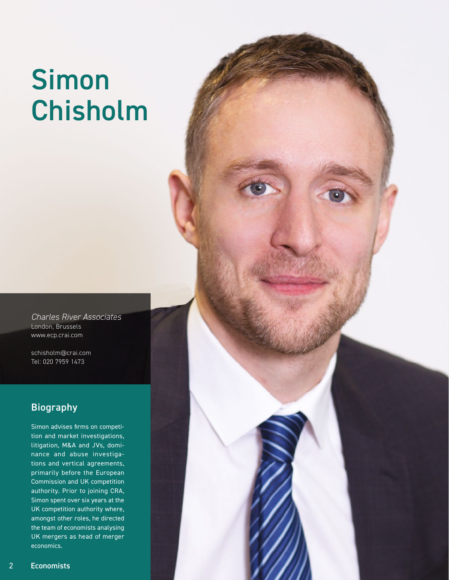# Simon Chisholm

*Charles River Associates* London, Brussels www.ecp.crai.com

schisholm@crai.com Tel: 020 7959 1473

## Biography

Simon advises firms on competition and market investigations, litigation, M&A and JVs, dominance and abuse investigations and vertical agreements, primarily before the European Commission and UK competition authority. Prior to joining CRA, Simon spent over six years at the UK competition authority where, amongst other roles, he directed the team of economists analysing UK mergers as head of merger economics.